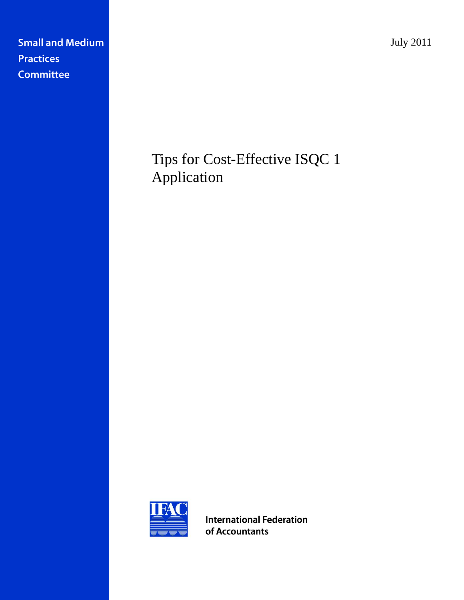July 2011

**Small and Medium Practices Committee** 

# Tips for Cost-Effective ISQC 1 Application



**International Federation** of Accountants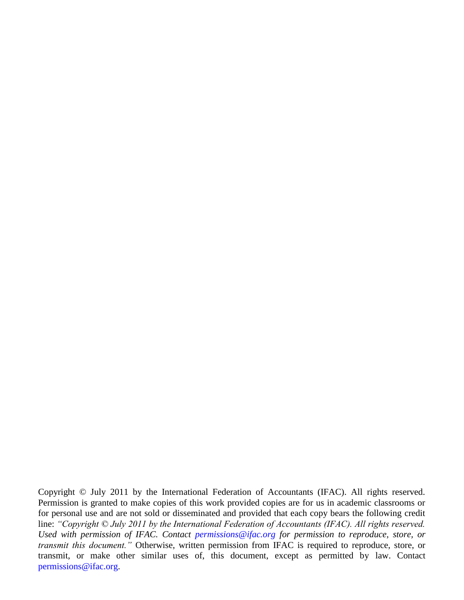Copyright © July 2011 by the International Federation of Accountants (IFAC). All rights reserved. Permission is granted to make copies of this work provided copies are for us in academic classrooms or for personal use and are not sold or disseminated and provided that each copy bears the following credit line: *"Copyright © July 2011 by the International Federation of Accountants (IFAC). All rights reserved. Used with permission of IFAC. Contact [permissions@ifac.org](mailto:permissions@ifac.org) for permission to reproduce, store, or transmit this document."* Otherwise, written permission from IFAC is required to reproduce, store, or transmit, or make other similar uses of, this document, except as permitted by law. Contact [permissions@ifac.org.](mailto:permissions@ifac.org)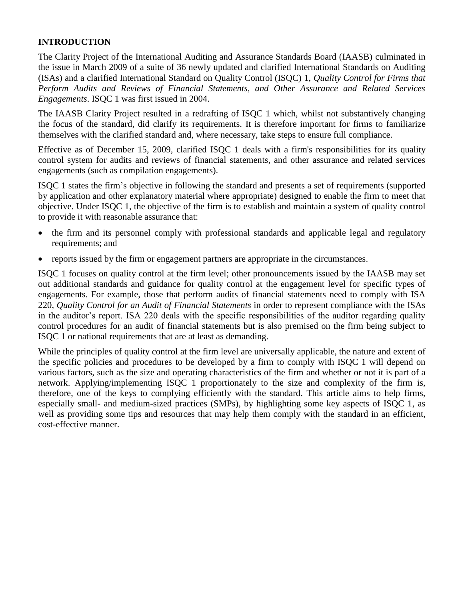# **INTRODUCTION**

The Clarity Project of the International Auditing and Assurance Standards Board (IAASB) culminated in the issue in March 2009 of a suite of 36 newly updated and clarified International Standards on Auditing (ISAs) and a clarified International Standard on Quality Control (ISQC) 1, *Quality Control for Firms that Perform Audits and Reviews of Financial Statements, and Other Assurance and Related Services Engagements*. ISQC 1 was first issued in 2004.

The IAASB Clarity Project resulted in a redrafting of ISQC 1 which, whilst not substantively changing the focus of the standard, did clarify its requirements. It is therefore important for firms to familiarize themselves with the clarified standard and, where necessary, take steps to ensure full compliance.

Effective as of December 15, 2009*,* clarified ISQC 1 deals with a firm's responsibilities for its quality control system for audits and reviews of financial statements, and other assurance and related services engagements (such as compilation engagements).

ISQC 1 states the firm's objective in following the standard and presents a set of requirements (supported by application and other explanatory material where appropriate) designed to enable the firm to meet that objective. Under ISQC 1, the objective of the firm is to establish and maintain a system of quality control to provide it with reasonable assurance that:

- the firm and its personnel comply with professional standards and applicable legal and regulatory requirements; and
- reports issued by the firm or engagement partners are appropriate in the circumstances.

ISQC 1 focuses on quality control at the firm level; other pronouncements issued by the IAASB may set out additional standards and guidance for quality control at the engagement level for specific types of engagements. For example, those that perform audits of financial statements need to comply with ISA 220, *Quality Control for an Audit of Financial Statements* in order to represent compliance with the ISAs in the auditor's report. ISA 220 deals with the specific responsibilities of the auditor regarding quality control procedures for an audit of financial statements but is also premised on the firm being subject to ISQC 1 or national requirements that are at least as demanding.

While the principles of quality control at the firm level are universally applicable, the nature and extent of the specific policies and procedures to be developed by a firm to comply with ISQC 1 will depend on various factors, such as the size and operating characteristics of the firm and whether or not it is part of a network. Applying/implementing ISQC 1 proportionately to the size and complexity of the firm is, therefore, one of the keys to complying efficiently with the standard. This article aims to help firms, especially small- and medium-sized practices (SMPs), by highlighting some key aspects of ISQC 1, as well as providing some tips and resources that may help them comply with the standard in an efficient, cost-effective manner.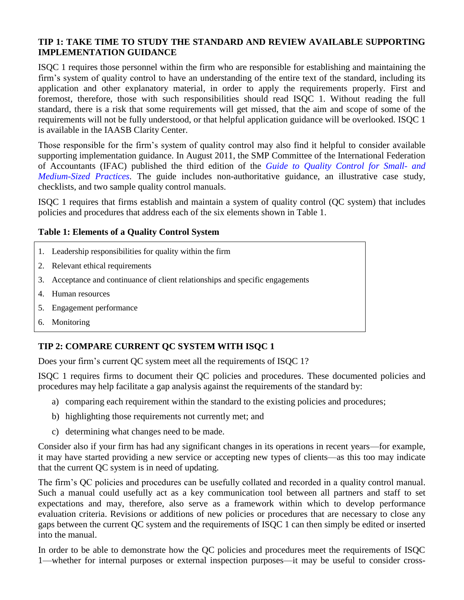#### **TIP 1: TAKE TIME TO STUDY THE STANDARD AND REVIEW AVAILABLE SUPPORTING IMPLEMENTATION GUIDANCE**

ISQC 1 requires those personnel within the firm who are responsible for establishing and maintaining the firm's system of quality control to have an understanding of the entire text of the standard, including its application and other explanatory material, in order to apply the requirements properly. First and foremost, therefore, those with such responsibilities should read ISQC 1. Without reading the full standard, there is a risk that some requirements will get missed, that the aim and scope of some of the requirements will not be fully understood, or that helpful application guidance will be overlooked. ISQC 1 is available in the [IAASB Clarity Center.](http://web.ifac.org/clarity-center/isa-isqc1)

Those responsible for the firm's system of quality control may also find it helpful to consider available supporting implementation guidance. In August 2011, the SMP Committee of the International Federation of Accountants (IFAC) published the third edition of the *[Guide to Quality Control for Small-](http://web.ifac.org/publications/small-and-medium-practices-committee/implementation-guides) and [Medium-Sized Practices.](http://web.ifac.org/publications/small-and-medium-practices-committee/implementation-guides)* The guide includes non-authoritative guidance, an illustrative case study, checklists, and two sample quality control manuals.

ISQC 1 requires that firms establish and maintain a system of quality control (QC system) that includes policies and procedures that address each of the six elements shown in Table 1.

#### **Table 1: Elements of a Quality Control System**

- 1. Leadership responsibilities for quality within the firm
- 2. Relevant ethical requirements
- 3. Acceptance and continuance of client relationships and specific engagements
- 4. Human resources
- 5. Engagement performance
- 6. Monitoring

# **TIP 2: COMPARE CURRENT QC SYSTEM WITH ISQC 1**

Does your firm's current QC system meet all the requirements of ISQC 1?

ISQC 1 requires firms to document their QC policies and procedures. These documented policies and procedures may help facilitate a gap analysis against the requirements of the standard by:

- a) comparing each requirement within the standard to the existing policies and procedures;
- b) highlighting those requirements not currently met; and
- c) determining what changes need to be made.

Consider also if your firm has had any significant changes in its operations in recent years—for example, it may have started providing a new service or accepting new types of clients—as this too may indicate that the current QC system is in need of updating.

The firm's QC policies and procedures can be usefully collated and recorded in a quality control manual. Such a manual could usefully act as a key communication tool between all partners and staff to set expectations and may, therefore, also serve as a framework within which to develop performance evaluation criteria. Revisions or additions of new policies or procedures that are necessary to close any gaps between the current QC system and the requirements of ISQC 1 can then simply be edited or inserted into the manual.

In order to be able to demonstrate how the QC policies and procedures meet the requirements of ISQC 1—whether for internal purposes or external inspection purposes—it may be useful to consider cross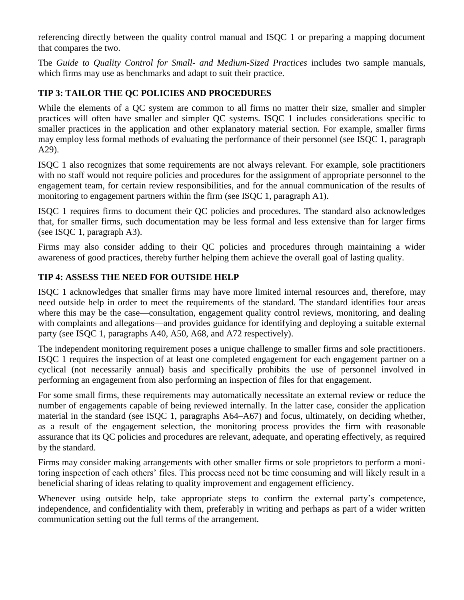referencing directly between the quality control manual and ISQC 1 or preparing a mapping document that compares the two.

The *Guide to Quality Control for Small- and Medium-Sized Practices* includes two sample manuals, which firms may use as benchmarks and adapt to suit their practice.

# **TIP 3: TAILOR THE QC POLICIES AND PROCEDURES**

While the elements of a QC system are common to all firms no matter their size, smaller and simpler practices will often have smaller and simpler QC systems. ISQC 1 includes considerations specific to smaller practices in the application and other explanatory material section. For example, smaller firms may employ less formal methods of evaluating the performance of their personnel (see ISQC 1, paragraph A29).

ISQC 1 also recognizes that some requirements are not always relevant. For example, sole practitioners with no staff would not require policies and procedures for the assignment of appropriate personnel to the engagement team, for certain review responsibilities, and for the annual communication of the results of monitoring to engagement partners within the firm (see ISQC 1, paragraph A1).

ISQC 1 requires firms to document their QC policies and procedures. The standard also acknowledges that, for smaller firms, such documentation may be less formal and less extensive than for larger firms (see ISQC 1, paragraph A3).

Firms may also consider adding to their QC policies and procedures through maintaining a wider awareness of good practices, thereby further helping them achieve the overall goal of lasting quality.

#### **TIP 4: ASSESS THE NEED FOR OUTSIDE HELP**

ISQC 1 acknowledges that smaller firms may have more limited internal resources and, therefore, may need outside help in order to meet the requirements of the standard. The standard identifies four areas where this may be the case—consultation, engagement quality control reviews, monitoring, and dealing with complaints and allegations—and provides guidance for identifying and deploying a suitable external party (see ISQC 1, paragraphs A40, A50, A68, and A72 respectively).

The independent monitoring requirement poses a unique challenge to smaller firms and sole practitioners. ISQC 1 requires the inspection of at least one completed engagement for each engagement partner on a cyclical (not necessarily annual) basis and specifically prohibits the use of personnel involved in performing an engagement from also performing an inspection of files for that engagement.

For some small firms, these requirements may automatically necessitate an external review or reduce the number of engagements capable of being reviewed internally. In the latter case, consider the application material in the standard (see ISQC 1, paragraphs A64–A67) and focus, ultimately, on deciding whether, as a result of the engagement selection, the monitoring process provides the firm with reasonable assurance that its QC policies and procedures are relevant, adequate, and operating effectively, as required by the standard.

Firms may consider making arrangements with other smaller firms or sole proprietors to perform a monitoring inspection of each others' files. This process need not be time consuming and will likely result in a beneficial sharing of ideas relating to quality improvement and engagement efficiency.

Whenever using outside help, take appropriate steps to confirm the external party's competence, independence, and confidentiality with them, preferably in writing and perhaps as part of a wider written communication setting out the full terms of the arrangement.